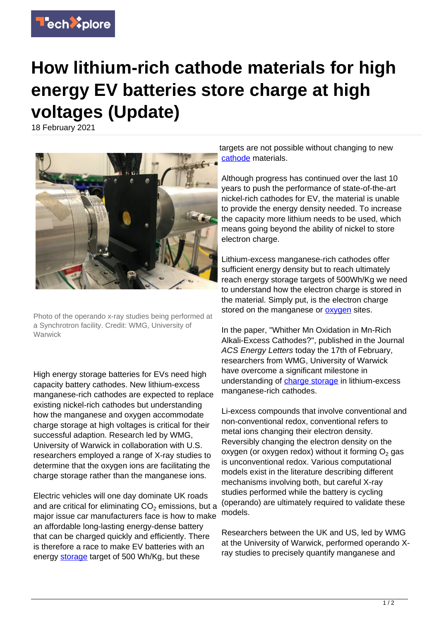

## **How lithium-rich cathode materials for high energy EV batteries store charge at high voltages (Update)**

18 February 2021



Photo of the operando x-ray studies being performed at a Synchrotron facility. Credit: WMG, University of Warwick

High energy storage batteries for EVs need high capacity battery cathodes. New lithium-excess manganese-rich cathodes are expected to replace existing nickel-rich cathodes but understanding how the manganese and oxygen accommodate charge storage at high voltages is critical for their successful adaption. Research led by WMG, University of Warwick in collaboration with U.S. researchers employed a range of X-ray studies to determine that the oxygen ions are facilitating the charge storage rather than the manganese ions.

Electric vehicles will one day dominate UK roads and are critical for eliminating CO $_2$  emissions, but a major issue car manufacturers face is how to make an affordable long-lasting energy-dense battery that can be charged quickly and efficiently. There is therefore a race to make EV batteries with an energy [storage](https://techxplore.com/tags/storage/) target of 500 Wh/Kg, but these

targets are not possible without changing to new [cathode](https://techxplore.com/tags/cathode/) materials.

Although progress has continued over the last 10 years to push the performance of state-of-the-art nickel-rich cathodes for EV, the material is unable to provide the energy density needed. To increase the capacity more lithium needs to be used, which means going beyond the ability of nickel to store electron charge.

Lithium-excess manganese-rich cathodes offer sufficient energy density but to reach ultimately reach energy storage targets of 500Wh/Kg we need to understand how the electron charge is stored in the material. Simply put, is the electron charge stored on the manganese or **oxygen** sites.

In the paper, "Whither Mn Oxidation in Mn-Rich Alkali-Excess Cathodes?", published in the Journal ACS Energy Letters today the 17th of February, researchers from WMG, University of Warwick have overcome a significant milestone in understanding of [charge storage](https://techxplore.com/tags/charge+storage/) in lithium-excess manganese-rich cathodes.

Li-excess compounds that involve conventional and non-conventional redox, conventional refers to metal ions changing their electron density. Reversibly changing the electron density on the oxygen (or oxygen redox) without it forming  $O_2$  gas is unconventional redox. Various computational models exist in the literature describing different mechanisms involving both, but careful X-ray studies performed while the battery is cycling (operando) are ultimately required to validate these models.

Researchers between the UK and US, led by WMG at the University of Warwick, performed operando Xray studies to precisely quantify manganese and